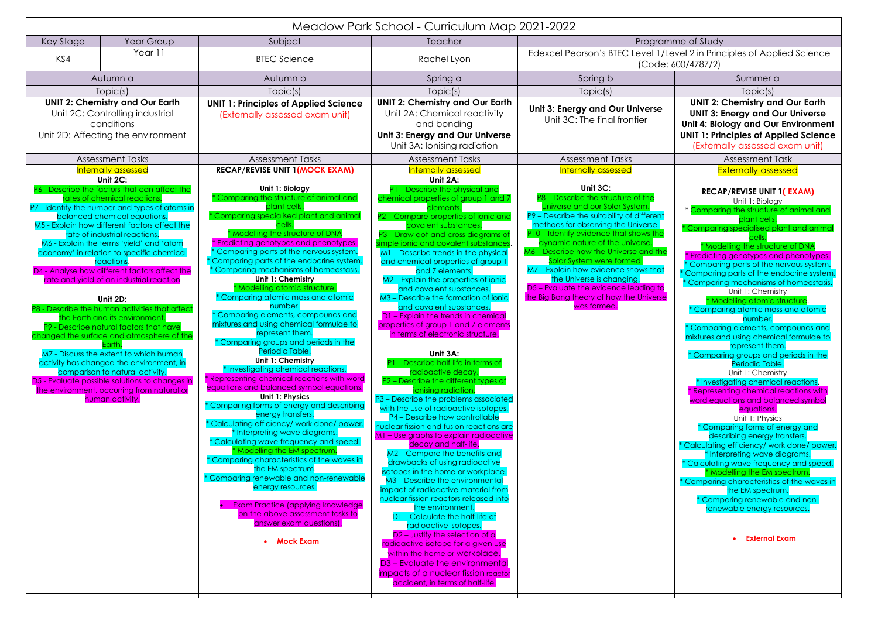|                                                                                                                               |                                                                                                                                                                                                                                                                                                                                                                                                                                                                                                                                                                                                                                                                                                                                                                                                                                                                                                                                          |                                                                                                                                                                                                                                                                                                                                                                                                                                                                                                                                                                                                                                                                                                                                                                                                                                                                                                                                                                                                                                                                                                                                                                                                                                                                                                                                       | Meadow Park School - Curriculum Map 2021-2022                                                                                                                                                                                                                                                                                                                                                                                                                                                                                                                                                                                                                                                                                                                                                                                                                                                                                                                                                                                                                                                                                                                                                                                                                                                                                                                                                                                                                                                                                                                         |                                                                                                                                                                                                                                                                                                                                                                                                                                                                                                                          |                                                                                                                                                                                                                                                                                                                                                                                                                                                                                                                                                                                                                                                                                                                                                                                                                                                                                                                                                                                                                                                                                                                                                                                                                                                       |
|-------------------------------------------------------------------------------------------------------------------------------|------------------------------------------------------------------------------------------------------------------------------------------------------------------------------------------------------------------------------------------------------------------------------------------------------------------------------------------------------------------------------------------------------------------------------------------------------------------------------------------------------------------------------------------------------------------------------------------------------------------------------------------------------------------------------------------------------------------------------------------------------------------------------------------------------------------------------------------------------------------------------------------------------------------------------------------|---------------------------------------------------------------------------------------------------------------------------------------------------------------------------------------------------------------------------------------------------------------------------------------------------------------------------------------------------------------------------------------------------------------------------------------------------------------------------------------------------------------------------------------------------------------------------------------------------------------------------------------------------------------------------------------------------------------------------------------------------------------------------------------------------------------------------------------------------------------------------------------------------------------------------------------------------------------------------------------------------------------------------------------------------------------------------------------------------------------------------------------------------------------------------------------------------------------------------------------------------------------------------------------------------------------------------------------|-----------------------------------------------------------------------------------------------------------------------------------------------------------------------------------------------------------------------------------------------------------------------------------------------------------------------------------------------------------------------------------------------------------------------------------------------------------------------------------------------------------------------------------------------------------------------------------------------------------------------------------------------------------------------------------------------------------------------------------------------------------------------------------------------------------------------------------------------------------------------------------------------------------------------------------------------------------------------------------------------------------------------------------------------------------------------------------------------------------------------------------------------------------------------------------------------------------------------------------------------------------------------------------------------------------------------------------------------------------------------------------------------------------------------------------------------------------------------------------------------------------------------------------------------------------------------|--------------------------------------------------------------------------------------------------------------------------------------------------------------------------------------------------------------------------------------------------------------------------------------------------------------------------------------------------------------------------------------------------------------------------------------------------------------------------------------------------------------------------|-------------------------------------------------------------------------------------------------------------------------------------------------------------------------------------------------------------------------------------------------------------------------------------------------------------------------------------------------------------------------------------------------------------------------------------------------------------------------------------------------------------------------------------------------------------------------------------------------------------------------------------------------------------------------------------------------------------------------------------------------------------------------------------------------------------------------------------------------------------------------------------------------------------------------------------------------------------------------------------------------------------------------------------------------------------------------------------------------------------------------------------------------------------------------------------------------------------------------------------------------------|
| Key Stage                                                                                                                     | Year Group                                                                                                                                                                                                                                                                                                                                                                                                                                                                                                                                                                                                                                                                                                                                                                                                                                                                                                                               | Subject                                                                                                                                                                                                                                                                                                                                                                                                                                                                                                                                                                                                                                                                                                                                                                                                                                                                                                                                                                                                                                                                                                                                                                                                                                                                                                                               | Teacher                                                                                                                                                                                                                                                                                                                                                                                                                                                                                                                                                                                                                                                                                                                                                                                                                                                                                                                                                                                                                                                                                                                                                                                                                                                                                                                                                                                                                                                                                                                                                               | Programme of Study                                                                                                                                                                                                                                                                                                                                                                                                                                                                                                       |                                                                                                                                                                                                                                                                                                                                                                                                                                                                                                                                                                                                                                                                                                                                                                                                                                                                                                                                                                                                                                                                                                                                                                                                                                                       |
| KS4                                                                                                                           | Year 11                                                                                                                                                                                                                                                                                                                                                                                                                                                                                                                                                                                                                                                                                                                                                                                                                                                                                                                                  | <b>BTEC Science</b>                                                                                                                                                                                                                                                                                                                                                                                                                                                                                                                                                                                                                                                                                                                                                                                                                                                                                                                                                                                                                                                                                                                                                                                                                                                                                                                   | Rachel Lyon                                                                                                                                                                                                                                                                                                                                                                                                                                                                                                                                                                                                                                                                                                                                                                                                                                                                                                                                                                                                                                                                                                                                                                                                                                                                                                                                                                                                                                                                                                                                                           | Edexcel Pearson's BTEC Level 1/Level 2 in Principles of Applied Science<br>(Code: 600/4787/2)                                                                                                                                                                                                                                                                                                                                                                                                                            |                                                                                                                                                                                                                                                                                                                                                                                                                                                                                                                                                                                                                                                                                                                                                                                                                                                                                                                                                                                                                                                                                                                                                                                                                                                       |
| Autumn a                                                                                                                      |                                                                                                                                                                                                                                                                                                                                                                                                                                                                                                                                                                                                                                                                                                                                                                                                                                                                                                                                          | Autumn b                                                                                                                                                                                                                                                                                                                                                                                                                                                                                                                                                                                                                                                                                                                                                                                                                                                                                                                                                                                                                                                                                                                                                                                                                                                                                                                              | Spring a                                                                                                                                                                                                                                                                                                                                                                                                                                                                                                                                                                                                                                                                                                                                                                                                                                                                                                                                                                                                                                                                                                                                                                                                                                                                                                                                                                                                                                                                                                                                                              | Spring b                                                                                                                                                                                                                                                                                                                                                                                                                                                                                                                 | Summer a                                                                                                                                                                                                                                                                                                                                                                                                                                                                                                                                                                                                                                                                                                                                                                                                                                                                                                                                                                                                                                                                                                                                                                                                                                              |
| Topic(s)                                                                                                                      |                                                                                                                                                                                                                                                                                                                                                                                                                                                                                                                                                                                                                                                                                                                                                                                                                                                                                                                                          | Topic(s)                                                                                                                                                                                                                                                                                                                                                                                                                                                                                                                                                                                                                                                                                                                                                                                                                                                                                                                                                                                                                                                                                                                                                                                                                                                                                                                              | Topic(s)                                                                                                                                                                                                                                                                                                                                                                                                                                                                                                                                                                                                                                                                                                                                                                                                                                                                                                                                                                                                                                                                                                                                                                                                                                                                                                                                                                                                                                                                                                                                                              | Topic(s)                                                                                                                                                                                                                                                                                                                                                                                                                                                                                                                 | Topic(s)                                                                                                                                                                                                                                                                                                                                                                                                                                                                                                                                                                                                                                                                                                                                                                                                                                                                                                                                                                                                                                                                                                                                                                                                                                              |
| <b>UNIT 2: Chemistry and Our Earth</b><br>Unit 2C: Controlling industrial<br>conditions<br>Unit 2D: Affecting the environment |                                                                                                                                                                                                                                                                                                                                                                                                                                                                                                                                                                                                                                                                                                                                                                                                                                                                                                                                          | <b>UNIT 1: Principles of Applied Science</b><br>(Externally assessed exam unit)                                                                                                                                                                                                                                                                                                                                                                                                                                                                                                                                                                                                                                                                                                                                                                                                                                                                                                                                                                                                                                                                                                                                                                                                                                                       | <b>UNIT 2: Chemistry and Our Earth</b><br>Unit 2A: Chemical reactivity<br>and bonding<br><b>Unit 3: Energy and Our Universe</b><br>Unit 3A: Ionising radiation                                                                                                                                                                                                                                                                                                                                                                                                                                                                                                                                                                                                                                                                                                                                                                                                                                                                                                                                                                                                                                                                                                                                                                                                                                                                                                                                                                                                        | Unit 3: Energy and Our Universe<br>Unit 3C: The final frontier                                                                                                                                                                                                                                                                                                                                                                                                                                                           | <b>UNIT 2: Chemistry and Our Earth</b><br><b>UNIT 3: Energy and Our Universe</b><br>Unit 4: Biology and Our Environmen<br><b>UNIT 1: Principles of Applied Science</b><br>(Externally assessed exam unit)                                                                                                                                                                                                                                                                                                                                                                                                                                                                                                                                                                                                                                                                                                                                                                                                                                                                                                                                                                                                                                             |
|                                                                                                                               | <b>Assessment Tasks</b>                                                                                                                                                                                                                                                                                                                                                                                                                                                                                                                                                                                                                                                                                                                                                                                                                                                                                                                  | <b>Assessment Tasks</b>                                                                                                                                                                                                                                                                                                                                                                                                                                                                                                                                                                                                                                                                                                                                                                                                                                                                                                                                                                                                                                                                                                                                                                                                                                                                                                               | <b>Assessment Tasks</b>                                                                                                                                                                                                                                                                                                                                                                                                                                                                                                                                                                                                                                                                                                                                                                                                                                                                                                                                                                                                                                                                                                                                                                                                                                                                                                                                                                                                                                                                                                                                               | <b>Assessment Tasks</b>                                                                                                                                                                                                                                                                                                                                                                                                                                                                                                  | <b>Assessment Task</b>                                                                                                                                                                                                                                                                                                                                                                                                                                                                                                                                                                                                                                                                                                                                                                                                                                                                                                                                                                                                                                                                                                                                                                                                                                |
|                                                                                                                               | Internally assessed<br>Unit $2C$ :<br>P6 - Describe the factors that can affect the<br>rates of chemical reactions.<br>P7 - Identify the number and types of atoms in<br>balanced chemical equations.<br>M5 - Explain how different factors affect the<br>rate of industrial reactions.<br>M6 - Explain the terms 'yield' and 'atom<br>economy' in relation to specific chemica<br>reactions.<br>D4 - Analyse how different factors affect the<br>rate and yield of an industrial reaction<br>Unit 2D:<br>P8 - Describe the human activities that affect<br>the Earth and its environment.<br>P9 - Describe natural factors that have<br>changed the surface and atmosphere of the<br>Earth.<br>M7 - Discuss the extent to which human<br>activity has changed the environment, in<br>comparison to natural activity.<br>D5 - Evaluate possible solutions to changes in<br>the environment, occurring from natural or<br>human activity. | <b>RECAP/REVISE UNIT 1 (MOCK EXAM)</b><br>Unit 1: Biology<br><sup>*</sup> Comparing the structure of animal and<br>plant cells.<br><sup>*</sup> Comparing specialised plant and anime<br>* Modelling the structure of DNA<br>* Predicting genotypes and phenotypes.<br>Comparing parts of the nervous system.<br>Comparing parts of the endocrine system.<br>* Comparing mechanisms of homeostasis.<br>Unit 1: Chemistry<br>* Modelling atomic structure.<br>Comparing atomic mass and atomic<br>number.<br>Comparing elements, compounds and<br>mixtures and using chemical formulae to<br>represent them.<br>* Comparing groups and periods in the<br>Periodic Table.<br>Unit 1: Chemistry<br>Investigating chemical reactions.<br>* Representing chemical reactions with word<br>equations and balanced symbol equations.<br>Unit 1: Physics<br>* Comparing forms of energy and describing<br>energy transfers.<br>'Calculating efficiency/ work done/ power.<br>* Interpreting wave diagrams.<br>Calculating wave frequency and speed.<br>* Modelling the EM spectrum.<br>Comparing characteristics of the waves in<br>the EM spectrum.<br>* Comparing renewable and non-renewable<br>energy resources.<br><b>Exam Practice (applying knowledge</b><br>on the above assessment tasks to<br>answer exam questions).<br>• Mock Exam | <b>Internally assessed</b><br>Unit 2A:<br>P1 - Describe the physical and<br>chemical properties of group 1 and 7<br>elements<br>P2 - Compare properties of ionic and<br>covalent substances.<br>P3 - Draw dot-and-cross diagrams of<br>simple ionic and covalent substances<br>M1 - Describe trends in the physical<br>and chemical properties of group 1<br>and 7 elements.<br>M2 - Explain the properties of ionic<br>and covalent substances.<br>M3 - Describe the formation of ionic<br>and covalent substances.<br>D1 - Explain the trends in chemical<br>properties of group 1 and 7 elements<br>in terms of electronic structure.<br>Unit 3A:<br>P1 - Describe half-life in terms of<br>radioactive decay.<br>P2 - Describe the different types of<br>ionising radiation.<br>P3 - Describe the problems associated<br>with the use of radioactive isotopes.<br>P4 - Describe how controllable<br>nuclear fission and fusion reactions are<br>M1 - Use graphs to explain radioactive<br>decay and half-life.<br>M2 - Compare the benefits and<br>drawbacks of using radioactive<br>isotopes in the home or workplace.<br>M3 - Describe the environmental<br>impact of radioactive material from<br>nuclear fission reactors released into<br>the environment.<br>D1 - Calculate the half-life of<br>radioactive isotopes.<br>D <sub>2</sub> - Justify the selection of a<br>radioactive isotope for a given use<br>within the home or workplace.<br>D3 – Evaluate the environmental<br>impacts of a nuclear fission reactor<br>accident, in terms of half-life. | Internally assessed<br>Unit 3C:<br>P8 - Describe the structure of the<br>Universe and our Solar System.<br>P9 - Describe the suitability of different<br>methods for observing the Universe.<br>P10 - Identify evidence that shows the<br>dynamic nature of the Universe.<br>M6 - Describe how the Universe and the<br>Solar System were formed.<br>M7 - Explain how evidence shows that<br>the Universe is changing.<br>D5 - Evaluate the evidence leading to<br>the Big Bang theory of how the Universe<br>was formed. | <b>Externally assessed</b><br><b>RECAP/REVISE UNIT 1(EXAM)</b><br>Unit 1: Biology<br>* Comparing the structure of animal and<br>plant cells.<br>* Comparing specialised plant and anima<br>* Modelling the structure of DNA<br>* Predicting genotypes and phenotypes.<br>Comparing parts of the nervous system.<br><sup>*</sup> Comparing parts of the endocrine system<br>* Comparing mechanisms of homeostasis.<br>Unit 1: Chemistry<br>* Modelling atomic structure.<br>* Comparing atomic mass and atomic<br>number.<br>Comparing elements, compounds and<br>mixtures and using chemical formulae to<br>represent them.<br>* Comparing groups and periods in the<br>Periodic Table.<br>Unit 1: Chemistry<br>* Investigating chemical reactions.<br>Representing chemical reactions with<br>word equations and balanced symbol<br>equations.<br>Unit 1: Physics<br>* Comparing forms of energy and<br>describing energy transfers.<br>* Calculating efficiency/ work done/ powe<br>* Interpreting wave diagrams.<br>* Calculating wave frequency and speed.<br>* Modelling the EM spectrum.<br>* Comparing characteristics of the waves in<br>the EM spectrum.<br>* Comparing renewable and non-<br>renewable energy resources.<br>• External Exam |

|                             | (Code: 600/4787/2)                                                                                                                                               |
|-----------------------------|------------------------------------------------------------------------------------------------------------------------------------------------------------------|
|                             | Summer a                                                                                                                                                         |
|                             | Topic(s)<br><b>UNIT 2: Chemistry and Our Earth</b>                                                                                                               |
| iverse<br>ier               | <b>UNIT 3: Energy and Our Universe</b><br>Unit 4: Biology and Our Environment<br><b>UNIT 1: Principles of Applied Science</b><br>(Externally assessed exam unit) |
|                             | Assessment Task                                                                                                                                                  |
|                             | <b>Externally assessed</b>                                                                                                                                       |
| f the                       | <b>RECAP/REVISE UNIT 1(EXAM)</b><br>Unit 1: Biology                                                                                                              |
| эm.<br><b>lifferent</b>     | * Comparing the structure of animal and<br>plant cells.                                                                                                          |
| iverse.<br>ows the<br>erse. | * Comparing specialised plant and animal<br>cells.                                                                                                               |
| and the                     | Modelling the structure of DNA<br>Predicting genotypes and phenotypes.<br>* Comparing parts of the nervous system.                                               |
| ws that                     | Comparing parts of the endocrine system.                                                                                                                         |
| ding to<br><b>Universe</b>  | * Comparing mechanisms of homeostasis.<br>Unit 1: Chemistry                                                                                                      |
|                             | * Modelling atomic structure.<br>* Comparing atomic mass and atomic<br>number.                                                                                   |
|                             | * Comparing elements, compounds and<br>mixtures and using chemical formulae to                                                                                   |
|                             | represent them.<br>* Comparing groups and periods in the<br>Periodic Table.                                                                                      |
|                             | Unit 1: Chemistry<br>* Investigating chemical reactions.                                                                                                         |
|                             | Representing chemical reactions with<br>word equations and balanced symbol                                                                                       |
|                             | equations.<br>Unit 1: Physics                                                                                                                                    |
|                             | * Comparing forms of energy and<br>describing energy transfers.                                                                                                  |
|                             | * Calculating efficiency/ work done/ power.<br>* Interpreting wave diagrams.                                                                                     |
|                             | * Calculating wave frequency and speed.<br>* Modelling the EM spectrum.<br>* Comparing characteristics of the waves in                                           |
|                             | the EM spectrum.                                                                                                                                                 |
|                             | * Comparing renewable and non-<br>renewable energy resources.                                                                                                    |
|                             | <b>External Exam</b>                                                                                                                                             |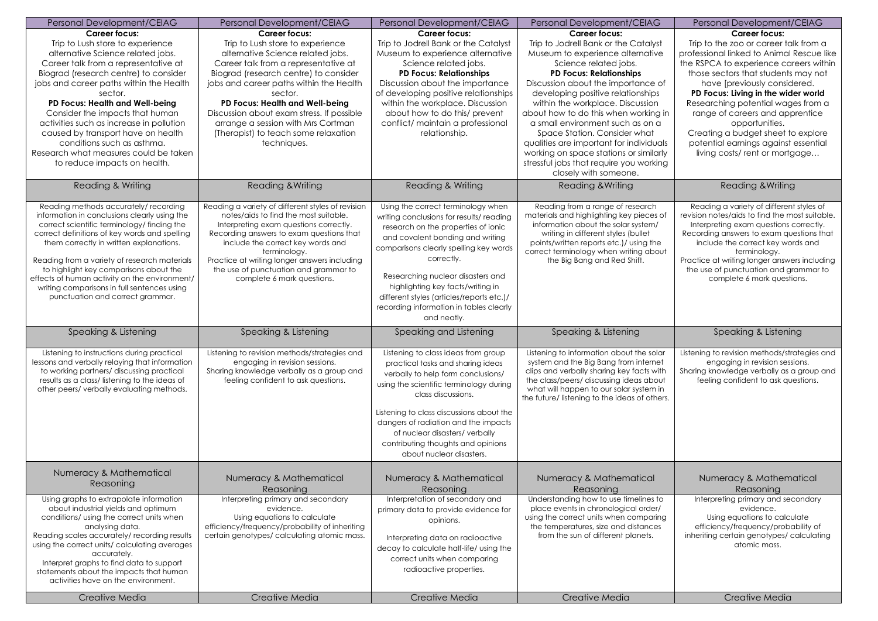| Personal Development/CEIAG                                                                                                                                                                                                                                                                                                                                                                                                                                    | Personal Development/CEIAG                                                                                                                                                                                                                                                                                                                                   | Personal Development/CEIAG                                                                                                                                                                                                                                                                                                                                                                         | Personal Development/CEIAG                                                                                                                                                                                                                                                                                                                 | Personal Development/CEIAG                                                                                                                                                                                                                                                                                                                                   |
|---------------------------------------------------------------------------------------------------------------------------------------------------------------------------------------------------------------------------------------------------------------------------------------------------------------------------------------------------------------------------------------------------------------------------------------------------------------|--------------------------------------------------------------------------------------------------------------------------------------------------------------------------------------------------------------------------------------------------------------------------------------------------------------------------------------------------------------|----------------------------------------------------------------------------------------------------------------------------------------------------------------------------------------------------------------------------------------------------------------------------------------------------------------------------------------------------------------------------------------------------|--------------------------------------------------------------------------------------------------------------------------------------------------------------------------------------------------------------------------------------------------------------------------------------------------------------------------------------------|--------------------------------------------------------------------------------------------------------------------------------------------------------------------------------------------------------------------------------------------------------------------------------------------------------------------------------------------------------------|
| <b>Career focus:</b>                                                                                                                                                                                                                                                                                                                                                                                                                                          | <b>Career focus:</b>                                                                                                                                                                                                                                                                                                                                         | <b>Career focus:</b>                                                                                                                                                                                                                                                                                                                                                                               | <b>Career focus:</b>                                                                                                                                                                                                                                                                                                                       | <b>Career focus:</b>                                                                                                                                                                                                                                                                                                                                         |
| Trip to Lush store to experience<br>alternative Science related jobs.<br>Career talk from a representative at<br>Biograd (research centre) to consider<br>jobs and career paths within the Health                                                                                                                                                                                                                                                             | Trip to Lush store to experience<br>alternative Science related jobs.<br>Career talk from a representative at<br>Biograd (research centre) to consider<br>jobs and career paths within the Health                                                                                                                                                            | Trip to Jodrell Bank or the Catalyst<br>Museum to experience alternative<br>Science related jobs.<br><b>PD Focus: Relationships</b><br>Discussion about the importance                                                                                                                                                                                                                             | Trip to Jodrell Bank or the Catalyst<br>Museum to experience alternative<br>Science related jobs.<br><b>PD Focus: Relationships</b><br>Discussion about the importance of                                                                                                                                                                  | Trip to the zoo or career talk from a<br>professional linked to Animal Rescue like<br>the RSPCA to experience careers within<br>those sectors that students may not<br>have [previously considered.                                                                                                                                                          |
| sector.<br>PD Focus: Health and Well-being<br>Consider the impacts that human<br>activities such as increase in pollution<br>caused by transport have on health<br>conditions such as asthma.<br>Research what measures could be taken<br>to reduce impacts on health.                                                                                                                                                                                        | sector.<br>PD Focus: Health and Well-being<br>Discussion about exam stress. If possible<br>arrange a session with Mrs Cortman<br>(Therapist) to teach some relaxation<br>techniques.                                                                                                                                                                         | of developing positive relationships<br>within the workplace. Discussion<br>about how to do this/ prevent<br>conflict/ maintain a professional<br>relationship.                                                                                                                                                                                                                                    | developing positive relationships<br>within the workplace. Discussion<br>about how to do this when working in<br>a small environment such as on a<br>Space Station. Consider what<br>qualities are important for individuals<br>working on space stations or similarly<br>stressful jobs that require you working<br>closely with someone. | PD Focus: Living in the wider world<br>Researching potential wages from a<br>range of careers and apprentice<br>opportunities.<br>Creating a budget sheet to explore<br>potential earnings against essential<br>living costs/rent or mortgage                                                                                                                |
| Reading & Writing                                                                                                                                                                                                                                                                                                                                                                                                                                             | <b>Reading &amp; Writing</b>                                                                                                                                                                                                                                                                                                                                 | <b>Reading &amp; Writing</b>                                                                                                                                                                                                                                                                                                                                                                       | Reading & Writing                                                                                                                                                                                                                                                                                                                          | <b>Reading &amp; Writing</b>                                                                                                                                                                                                                                                                                                                                 |
| Reading methods accurately/recording<br>information in conclusions clearly using the<br>correct scientific terminology/ finding the<br>correct definitions of key words and spelling<br>them correctly in written explanations.<br>Reading from a variety of research materials<br>to highlight key comparisons about the<br>effects of human activity on the environment/<br>writing comparisons in full sentences using<br>punctuation and correct grammar. | Reading a variety of different styles of revision<br>notes/aids to find the most suitable.<br>Interpreting exam questions correctly.<br>Recording answers to exam questions that<br>include the correct key words and<br>terminology.<br>Practice at writing longer answers including<br>the use of punctuation and grammar to<br>complete 6 mark questions. | Using the correct terminology when<br>writing conclusions for results/ reading<br>research on the properties of ionic<br>and covalent bonding and writing<br>comparisons clearly spelling key words<br>correctly.<br>Researching nuclear disasters and<br>highlighting key facts/writing in<br>different styles (articles/reports etc.)/<br>recording information in tables clearly<br>and neatly. | Reading from a range of research<br>materials and highlighting key pieces of<br>information about the solar system/<br>writing in different styles (bullet<br>points/written reports etc.)/ using the<br>correct terminology when writing about<br>the Big Bang and Red Shift.                                                             | Reading a variety of different styles of<br>revision notes/aids to find the most suitable.<br>Interpreting exam questions correctly.<br>Recording answers to exam questions that<br>include the correct key words and<br>terminology.<br>Practice at writing longer answers including<br>the use of punctuation and grammar to<br>complete 6 mark questions. |
| Speaking & Listening                                                                                                                                                                                                                                                                                                                                                                                                                                          | Speaking & Listening                                                                                                                                                                                                                                                                                                                                         | Speaking and Listening                                                                                                                                                                                                                                                                                                                                                                             | Speaking & Listening                                                                                                                                                                                                                                                                                                                       | Speaking & Listening                                                                                                                                                                                                                                                                                                                                         |
| Listening to instructions during practical<br>lessons and verbally relaying that information<br>to working partners/ discussing practical<br>results as a class/listening to the ideas of<br>other peers/ verbally evaluating methods.                                                                                                                                                                                                                        | Listening to revision methods/strategies and<br>engaging in revision sessions.<br>Sharing knowledge verbally as a group and<br>feeling confident to ask questions.                                                                                                                                                                                           | Listening to class ideas from group<br>practical tasks and sharing ideas<br>verbally to help form conclusions/<br>using the scientific terminology during<br>class discussions.<br>Listening to class discussions about the<br>dangers of radiation and the impacts<br>of nuclear disasters/verbally<br>contributing thoughts and opinions<br>about nuclear disasters.                             | Listening to information about the solar<br>system and the Big Bang from internet<br>clips and verbally sharing key facts with<br>the class/peers/ discussing ideas about<br>what will happen to our solar system in<br>the future/ listening to the ideas of others.                                                                      | Listening to revision methods/strategies and<br>engaging in revision sessions.<br>Sharing knowledge verbally as a group and<br>feeling confident to ask questions.                                                                                                                                                                                           |
| Numeracy & Mathematical<br>Reasoning                                                                                                                                                                                                                                                                                                                                                                                                                          | Numeracy & Mathematical<br>Reasoning                                                                                                                                                                                                                                                                                                                         | Numeracy & Mathematical<br>Reasoning                                                                                                                                                                                                                                                                                                                                                               | Numeracy & Mathematical<br>Reasoning                                                                                                                                                                                                                                                                                                       | Numeracy & Mathematical<br>Reasoning                                                                                                                                                                                                                                                                                                                         |
| Using graphs to extrapolate information<br>about industrial yields and optimum<br>conditions/ using the correct units when<br>analysing data.<br>Reading scales accurately/recording results<br>using the correct units/ calculating averages<br>accurately.<br>Interpret graphs to find data to support<br>statements about the impacts that human<br>activities have on the environment.                                                                    | Interpreting primary and secondary<br>evidence.<br>Using equations to calculate<br>efficiency/frequency/probability of inheriting<br>certain genotypes/ calculating atomic mass.                                                                                                                                                                             | Interpretation of secondary and<br>primary data to provide evidence for<br>opinions.<br>Interpreting data on radioactive<br>decay to calculate half-life/ using the<br>correct units when comparing<br>radioactive properties.                                                                                                                                                                     | Understanding how to use timelines to<br>place events in chronological order/<br>using the correct units when comparing<br>the temperatures, size and distances<br>from the sun of different planets.                                                                                                                                      | Interpreting primary and secondary<br>evidence.<br>Using equations to calculate<br>efficiency/frequency/probability of<br>inheriting certain genotypes/ calculating<br>atomic mass.                                                                                                                                                                          |
| Creative Media                                                                                                                                                                                                                                                                                                                                                                                                                                                | Creative Media                                                                                                                                                                                                                                                                                                                                               | Creative Media                                                                                                                                                                                                                                                                                                                                                                                     | Creative Media                                                                                                                                                                                                                                                                                                                             | Creative Media                                                                                                                                                                                                                                                                                                                                               |